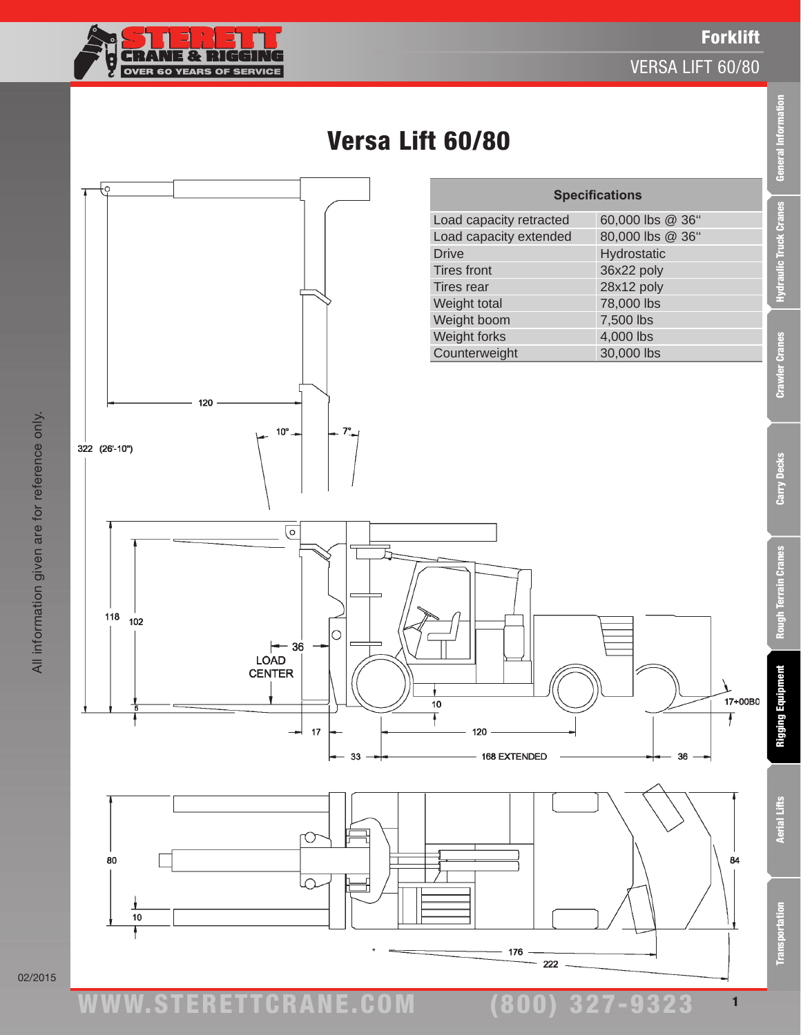

120

 $10^{\circ}$ 

ŧс

322 (26'-10")

#### VERSA LIFT 60/80







02/2015

ww.TDKv.com

**Aerial Lifts** 

**Transportation** 

1